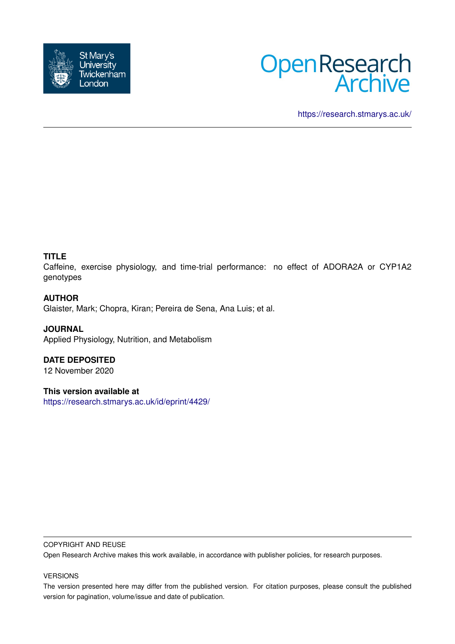



<https://research.stmarys.ac.uk/>

# **TITLE**

Caffeine, exercise physiology, and time-trial performance: no effect of ADORA2A or CYP1A2 genotypes

# **AUTHOR**

Glaister, Mark; Chopra, Kiran; Pereira de Sena, Ana Luis; et al.

# **JOURNAL**

Applied Physiology, Nutrition, and Metabolism

# **DATE DEPOSITED**

12 November 2020

# **This version available at**

<https://research.stmarys.ac.uk/id/eprint/4429/>

## COPYRIGHT AND REUSE

Open Research Archive makes this work available, in accordance with publisher policies, for research purposes.

## VERSIONS

The version presented here may differ from the published version. For citation purposes, please consult the published version for pagination, volume/issue and date of publication.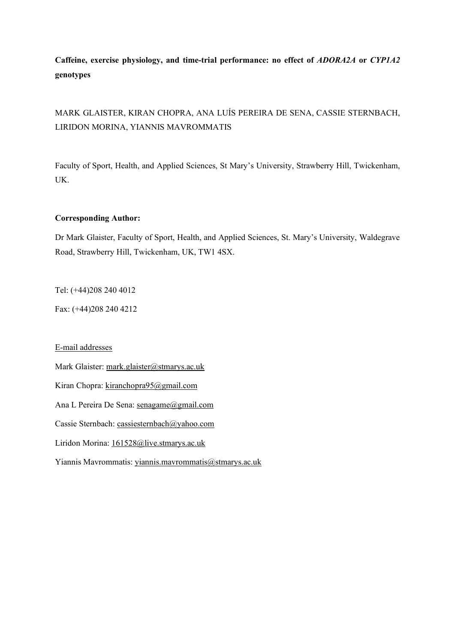# **Caffeine, exercise physiology, and time-trial performance: no effect of** *ADORA2A* **or** *CYP1A2* **genotypes**

MARK GLAISTER, KIRAN CHOPRA, ANA LUÍS PEREIRA DE SENA, CASSIE STERNBACH, LIRIDON MORINA, YIANNIS MAVROMMATIS

Faculty of Sport, Health, and Applied Sciences, St Mary's University, Strawberry Hill, Twickenham, UK.

# **Corresponding Author:**

Dr Mark Glaister, Faculty of Sport, Health, and Applied Sciences, St. Mary's University, Waldegrave Road, Strawberry Hill, Twickenham, UK, TW1 4SX.

Tel: (+44)208 240 4012

Fax: (+44)208 240 4212

## E-mail addresses

Mark Glaister: [mark.glaister@stmarys.ac.uk](mailto:mark.glaister@stmarys.ac.uk)

Kiran Chopra: [kiranchopra95@gmail.com](mailto:kiranchopra95@gmail.com)

Ana L Pereira De Sena: [senagame@gmail.com](mailto:senagame@gmail.com)

Cassie Sternbach: [cassiesternbach@yahoo.com](mailto:cassiesternbach@yahoo.com)

Liridon Morina: [161528@live.stmarys.ac.uk](mailto:161528@live.stmarys.ac.uk)

Yiannis Mavrommatis: [yiannis.mavrommatis@stmarys.ac.uk](mailto:yiannis.mavrommatis@stmarys.ac.uk)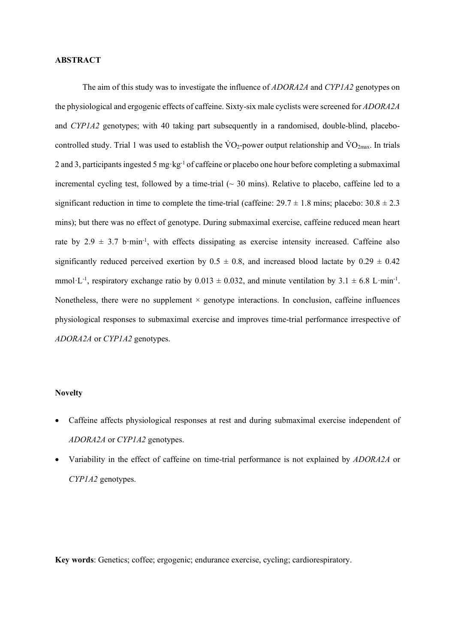#### **ABSTRACT**

The aim of this study was to investigate the influence of *ADORA2A* and *CYP1A2* genotypes on the physiological and ergogenic effects of caffeine. Sixty-six male cyclists were screened for *ADORA2A* and *CYP1A2* genotypes; with 40 taking part subsequently in a randomised, double-blind, placebocontrolled study. Trial 1 was used to establish the  $\rm\dot{VO}_2$ -power output relationship and  $\rm\dot{VO}_{2max}$ . In trials 2 and 3, participants ingested 5 mg·kg-1 of caffeine or placebo one hour before completing a submaximal incremental cycling test, followed by a time-trial  $\sim$  30 mins). Relative to placebo, caffeine led to a significant reduction in time to complete the time-trial (caffeine:  $29.7 \pm 1.8$  mins; placebo:  $30.8 \pm 2.3$ mins); but there was no effect of genotype. During submaximal exercise, caffeine reduced mean heart rate by  $2.9 \pm 3.7$  b·min<sup>-1</sup>, with effects dissipating as exercise intensity increased. Caffeine also significantly reduced perceived exertion by  $0.5 \pm 0.8$ , and increased blood lactate by  $0.29 \pm 0.42$ mmol·L<sup>-1</sup>, respiratory exchange ratio by  $0.013 \pm 0.032$ , and minute ventilation by  $3.1 \pm 6.8$  L·min<sup>-1</sup>. Nonetheless, there were no supplement  $\times$  genotype interactions. In conclusion, caffeine influences physiological responses to submaximal exercise and improves time-trial performance irrespective of *ADORA2A* or *CYP1A2* genotypes.

#### **Novelty**

- Caffeine affects physiological responses at rest and during submaximal exercise independent of *ADORA2A* or *CYP1A2* genotypes.
- Variability in the effect of caffeine on time-trial performance is not explained by *ADORA2A* or *CYP1A2* genotypes.

**Key words**: Genetics; coffee; ergogenic; endurance exercise, cycling; cardiorespiratory.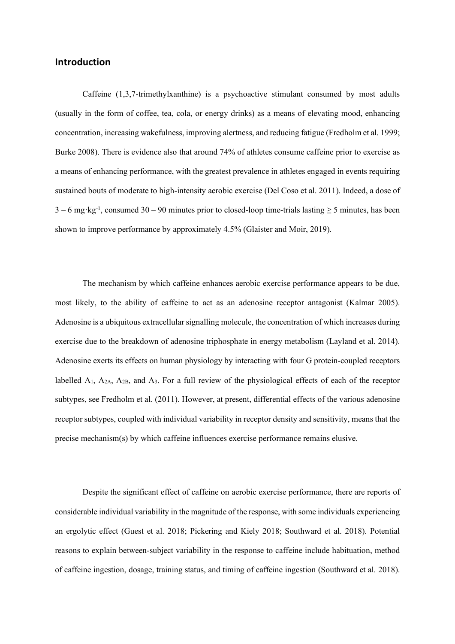# **Introduction**

Caffeine (1,3,7-trimethylxanthine) is a psychoactive stimulant consumed by most adults (usually in the form of coffee, tea, cola, or energy drinks) as a means of elevating mood, enhancing concentration, increasing wakefulness, improving alertness, and reducing fatigue (Fredholm et al. 1999; Burke 2008). There is evidence also that around 74% of athletes consume caffeine prior to exercise as a means of enhancing performance, with the greatest prevalence in athletes engaged in events requiring sustained bouts of moderate to high-intensity aerobic exercise (Del Coso et al. 2011). Indeed, a dose of  $3 - 6$  mg·kg<sup>-1</sup>, consumed  $30 - 90$  minutes prior to closed-loop time-trials lasting  $\geq 5$  minutes, has been shown to improve performance by approximately 4.5% (Glaister and Moir, 2019).

The mechanism by which caffeine enhances aerobic exercise performance appears to be due, most likely, to the ability of caffeine to act as an adenosine receptor antagonist (Kalmar 2005). Adenosine is a ubiquitous extracellular signalling molecule, the concentration of which increases during exercise due to the breakdown of adenosine triphosphate in energy metabolism (Layland et al. 2014). Adenosine exerts its effects on human physiology by interacting with four G protein-coupled receptors labelled  $A_1$ ,  $A_{2A}$ ,  $A_{2B}$ , and  $A_3$ . For a full review of the physiological effects of each of the receptor subtypes, see Fredholm et al. (2011). However, at present, differential effects of the various adenosine receptor subtypes, coupled with individual variability in receptor density and sensitivity, means that the precise mechanism(s) by which caffeine influences exercise performance remains elusive.

Despite the significant effect of caffeine on aerobic exercise performance, there are reports of considerable individual variability in the magnitude of the response, with some individuals experiencing an ergolytic effect (Guest et al. 2018; Pickering and Kiely 2018; Southward et al. 2018). Potential reasons to explain between-subject variability in the response to caffeine include habituation, method of caffeine ingestion, dosage, training status, and timing of caffeine ingestion (Southward et al. 2018).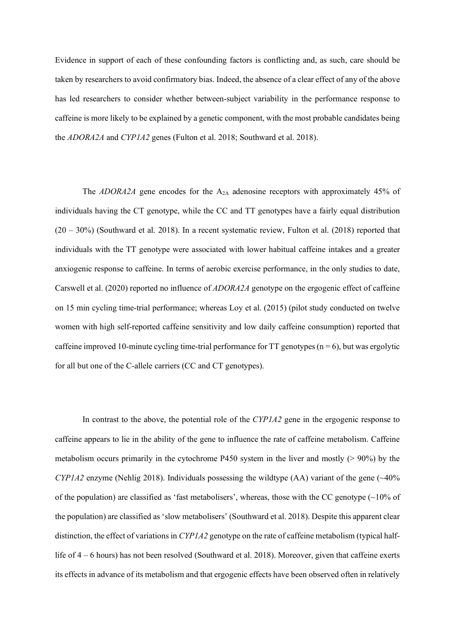Evidence in support of each of these confounding factors is conflicting and, as such, care should be taken by researchers to avoid confirmatory bias. Indeed, the absence of a clear effect of any of the above has led researchers to consider whether between-subject variability in the performance response to caffeine is more likely to be explained by a genetic component, with the most probable candidates being the *ADORA2A* and *CYP1A2* genes (Fulton et al. 2018; Southward et al. 2018).

The *ADORA2A* gene encodes for the A<sub>2A</sub> adenosine receptors with approximately 45% of individuals having the CT genotype, while the CC and TT genotypes have a fairly equal distribution (20 – 30%) (Southward et al. 2018). In a recent systematic review, Fulton et al. (2018) reported that individuals with the TT genotype were associated with lower habitual caffeine intakes and a greater anxiogenic response to caffeine. In terms of aerobic exercise performance, in the only studies to date, Carswell et al. (2020) reported no influence of *ADORA2A* genotype on the ergogenic effect of caffeine on 15 min cycling time-trial performance; whereas Loy et al. (2015) (pilot study conducted on twelve women with high self-reported caffeine sensitivity and low daily caffeine consumption) reported that caffeine improved 10-minute cycling time-trial performance for  $TT$  genotypes (n = 6), but was ergolytic for all but one of the C-allele carriers (CC and CT genotypes).

In contrast to the above, the potential role of the *CYP1A2* gene in the ergogenic response to caffeine appears to lie in the ability of the gene to influence the rate of caffeine metabolism. Caffeine metabolism occurs primarily in the cytochrome P450 system in the liver and mostly (> 90%) by the *CYP1A2* enzyme (Nehlig 2018). Individuals possessing the wildtype (AA) variant of the gene (~40% of the population) are classified as 'fast metabolisers', whereas, those with the CC genotype (~10% of the population) are classified as 'slow metabolisers' (Southward et al. 2018). Despite this apparent clear distinction, the effect of variations in *CYP1A2* genotype on the rate of caffeine metabolism (typical halflife of 4 – 6 hours) has not been resolved (Southward et al. 2018). Moreover, given that caffeine exerts its effects in advance of its metabolism and that ergogenic effects have been observed often in relatively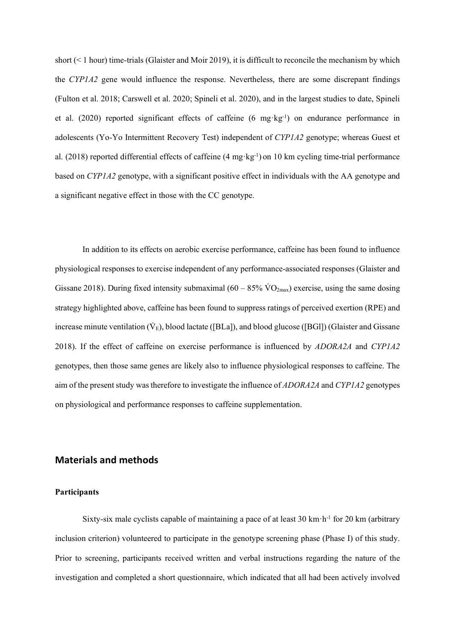short (< 1 hour) time-trials (Glaister and Moir 2019), it is difficult to reconcile the mechanism by which the *CYP1A2* gene would influence the response. Nevertheless, there are some discrepant findings (Fulton et al. 2018; Carswell et al. 2020; Spineli et al. 2020), and in the largest studies to date, Spineli et al. (2020) reported significant effects of caffeine (6  $mg \, \text{kg}^{-1}$ ) on endurance performance in adolescents (Yo-Yo Intermittent Recovery Test) independent of *CYP1A2* genotype; whereas Guest et al. (2018) reported differential effects of caffeine (4 mg·kg-1) on 10 km cycling time-trial performance based on *CYP1A2* genotype, with a significant positive effect in individuals with the AA genotype and a significant negative effect in those with the CC genotype.

In addition to its effects on aerobic exercise performance, caffeine has been found to influence physiological responses to exercise independent of any performance-associated responses (Glaister and Gissane 2018). During fixed intensity submaximal  $(60 - 85\% \text{ VO}_{2\text{max}})$  exercise, using the same dosing strategy highlighted above, caffeine has been found to suppress ratings of perceived exertion (RPE) and increase minute ventilation  $(\dot{V}_E)$ , blood lactate ([BLa]), and blood glucose ([BGl]) (Glaister and Gissane 2018). If the effect of caffeine on exercise performance is influenced by *ADORA2A* and *CYP1A2* genotypes, then those same genes are likely also to influence physiological responses to caffeine. The aim of the present study was therefore to investigate the influence of *ADORA2A* and *CYP1A2* genotypes on physiological and performance responses to caffeine supplementation.

# **Materials and methods**

## **Participants**

Sixty-six male cyclists capable of maintaining a pace of at least  $30 \text{ km} \cdot \text{h}^{-1}$  for  $20 \text{ km}$  (arbitrary inclusion criterion) volunteered to participate in the genotype screening phase (Phase I) of this study. Prior to screening, participants received written and verbal instructions regarding the nature of the investigation and completed a short questionnaire, which indicated that all had been actively involved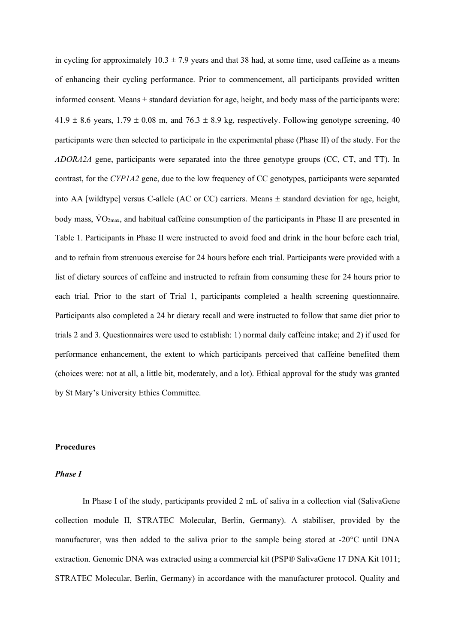in cycling for approximately  $10.3 \pm 7.9$  years and that 38 had, at some time, used caffeine as a means of enhancing their cycling performance. Prior to commencement, all participants provided written informed consent. Means ± standard deviation for age, height, and body mass of the participants were:  $41.9 \pm 8.6$  years,  $1.79 \pm 0.08$  m, and  $76.3 \pm 8.9$  kg, respectively. Following genotype screening, 40 participants were then selected to participate in the experimental phase (Phase II) of the study. For the *ADORA2A* gene, participants were separated into the three genotype groups (CC, CT, and TT). In contrast, for the *CYP1A2* gene, due to the low frequency of CC genotypes, participants were separated into AA [wildtype] versus C-allele (AC or CC) carriers. Means  $\pm$  standard deviation for age, height, body mass,  $\rm{VO}_{2max}$ , and habitual caffeine consumption of the participants in Phase II are presented in Table 1. Participants in Phase II were instructed to avoid food and drink in the hour before each trial, and to refrain from strenuous exercise for 24 hours before each trial. Participants were provided with a list of dietary sources of caffeine and instructed to refrain from consuming these for 24 hours prior to each trial. Prior to the start of Trial 1, participants completed a health screening questionnaire. Participants also completed a 24 hr dietary recall and were instructed to follow that same diet prior to trials 2 and 3. Questionnaires were used to establish: 1) normal daily caffeine intake; and 2) if used for performance enhancement, the extent to which participants perceived that caffeine benefited them (choices were: not at all, a little bit, moderately, and a lot). Ethical approval for the study was granted by St Mary's University Ethics Committee.

## **Procedures**

#### *Phase I*

In Phase I of the study, participants provided 2 mL of saliva in a collection vial (SalivaGene collection module II, STRATEC Molecular, Berlin, Germany). A stabiliser, provided by the manufacturer, was then added to the saliva prior to the sample being stored at -20°C until DNA extraction. Genomic DNA was extracted using a commercial kit (PSP® SalivaGene 17 DNA Kit 1011; STRATEC Molecular, Berlin, Germany) in accordance with the manufacturer protocol. Quality and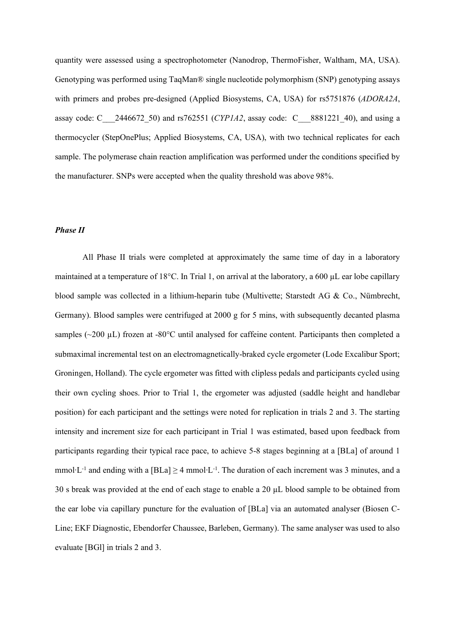quantity were assessed using a spectrophotometer (Nanodrop, ThermoFisher, Waltham, MA, USA). Genotyping was performed using TaqMan® single nucleotide polymorphism (SNP) genotyping assays with primers and probes pre-designed (Applied Biosystems, CA, USA) for rs5751876 (*ADORA2A*, assay code: C\_\_\_2446672\_50) and rs762551 (*CYP1A2*, assay code: C\_\_\_8881221\_40), and using a thermocycler (StepOnePlus; Applied Biosystems, CA, USA), with two technical replicates for each sample. The polymerase chain reaction amplification was performed under the conditions specified by the manufacturer. SNPs were accepted when the quality threshold was above 98%.

## *Phase II*

All Phase II trials were completed at approximately the same time of day in a laboratory maintained at a temperature of 18 $^{\circ}$ C. In Trial 1, on arrival at the laboratory, a 600 µL ear lobe capillary blood sample was collected in a lithium-heparin tube (Multivette; Starstedt AG & Co., Nümbrecht, Germany). Blood samples were centrifuged at 2000 g for 5 mins, with subsequently decanted plasma samples ( $\sim$ 200 µL) frozen at -80 $^{\circ}$ C until analysed for caffeine content. Participants then completed a submaximal incremental test on an electromagnetically-braked cycle ergometer (Lode Excalibur Sport; Groningen, Holland). The cycle ergometer was fitted with clipless pedals and participants cycled using their own cycling shoes. Prior to Trial 1, the ergometer was adjusted (saddle height and handlebar position) for each participant and the settings were noted for replication in trials 2 and 3. The starting intensity and increment size for each participant in Trial 1 was estimated, based upon feedback from participants regarding their typical race pace, to achieve 5-8 stages beginning at a [BLa] of around 1 mmol∙L-1 and ending with a [BLa] ≥ 4 mmol∙L-1. The duration of each increment was 3 minutes, and a 30 s break was provided at the end of each stage to enable a 20 µL blood sample to be obtained from the ear lobe via capillary puncture for the evaluation of [BLa] via an automated analyser (Biosen C-Line; EKF Diagnostic, Ebendorfer Chaussee, Barleben, Germany). The same analyser was used to also evaluate [BGl] in trials 2 and 3.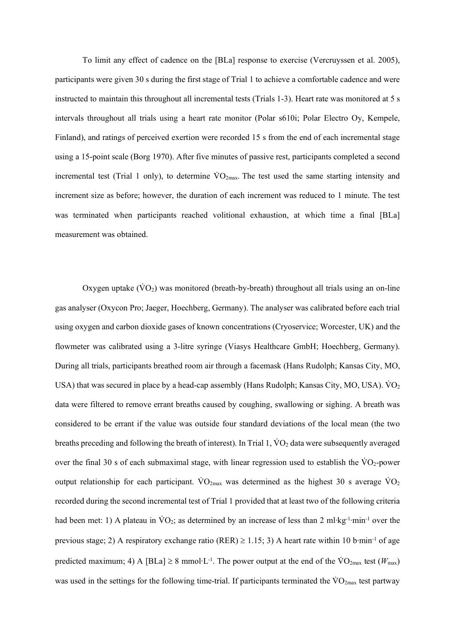To limit any effect of cadence on the [BLa] response to exercise (Vercruyssen et al. 2005), participants were given 30 s during the first stage of Trial 1 to achieve a comfortable cadence and were instructed to maintain this throughout all incremental tests (Trials 1-3). Heart rate was monitored at 5 s intervals throughout all trials using a heart rate monitor (Polar s610i; Polar Electro Oy, Kempele, Finland), and ratings of perceived exertion were recorded 15 s from the end of each incremental stage using a 15-point scale (Borg 1970). After five minutes of passive rest, participants completed a second incremental test (Trial 1 only), to determine  $\rm\dot{VO}_{2max}$ . The test used the same starting intensity and increment size as before; however, the duration of each increment was reduced to 1 minute. The test was terminated when participants reached volitional exhaustion, at which time a final [BLa] measurement was obtained.

Oxygen uptake  $(\dot{V}O_2)$  was monitored (breath-by-breath) throughout all trials using an on-line gas analyser (Oxycon Pro; Jaeger, Hoechberg, Germany). The analyser was calibrated before each trial using oxygen and carbon dioxide gases of known concentrations (Cryoservice; Worcester, UK) and the flowmeter was calibrated using a 3-litre syringe (Viasys Healthcare GmbH; Hoechberg, Germany). During all trials, participants breathed room air through a facemask (Hans Rudolph; Kansas City, MO, USA) that was secured in place by a head-cap assembly (Hans Rudolph; Kansas City, MO, USA).  $\rm \dot{V}O_2$ data were filtered to remove errant breaths caused by coughing, swallowing or sighing. A breath was considered to be errant if the value was outside four standard deviations of the local mean (the two breaths preceding and following the breath of interest). In Trial 1,  $\rm\dot{VO}_2$  data were subsequently averaged over the final 30 s of each submaximal stage, with linear regression used to establish the  $\rm\ddot{V}O_{2}$ -power output relationship for each participant.  $\rm\dot{VO}_{2max}$  was determined as the highest 30 s average  $\rm\dot{VO}_{2}$ recorded during the second incremental test of Trial 1 provided that at least two of the following criteria had been met: 1) A plateau in VO<sub>2</sub>; as determined by an increase of less than 2 ml⋅kg<sup>-1</sup>⋅min<sup>-1</sup> over the previous stage; 2) A respiratory exchange ratio (RER) ≥ 1.15; 3) A heart rate within 10 b∙min-1 of age predicted maximum; 4) A [BLa] ≥ 8 mmol⋅L<sup>-1</sup>. The power output at the end of the  $\rm\dot{VO}_{2max}$  test ( $W_{max}$ ) was used in the settings for the following time-trial. If participants terminated the  $\rm \ddot{V}O_{2max}$  test partway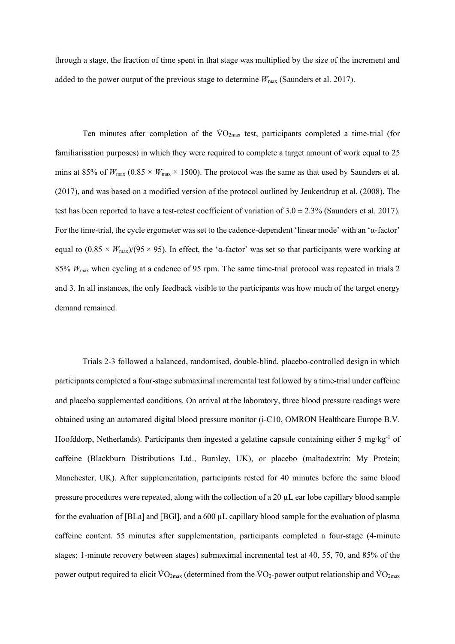through a stage, the fraction of time spent in that stage was multiplied by the size of the increment and added to the power output of the previous stage to determine  $W_{\text{max}}$  (Saunders et al. 2017).

Ten minutes after completion of the  $\rm\dot{VO}_{2max}$  test, participants completed a time-trial (for familiarisation purposes) in which they were required to complete a target amount of work equal to 25 mins at 85% of  $W_{\text{max}}$  (0.85  $\times$   $W_{\text{max}}$   $\times$  1500). The protocol was the same as that used by Saunders et al. (2017), and was based on a modified version of the protocol outlined by Jeukendrup et al. (2008). The test has been reported to have a test-retest coefficient of variation of  $3.0 \pm 2.3\%$  (Saunders et al. 2017). For the time-trial, the cycle ergometer was set to the cadence-dependent 'linear mode' with an 'α-factor' equal to  $(0.85 \times W_{\text{max}})/(95 \times 95)$ . In effect, the 'α-factor' was set so that participants were working at 85% *W*max when cycling at a cadence of 95 rpm. The same time-trial protocol was repeated in trials 2 and 3. In all instances, the only feedback visible to the participants was how much of the target energy demand remained.

Trials 2-3 followed a balanced, randomised, double-blind, placebo-controlled design in which participants completed a four-stage submaximal incremental test followed by a time-trial under caffeine and placebo supplemented conditions. On arrival at the laboratory, three blood pressure readings were obtained using an automated digital blood pressure monitor (i-C10, OMRON Healthcare Europe B.V. Hoofddorp, Netherlands). Participants then ingested a gelatine capsule containing either 5 mg∙kg-1 of caffeine (Blackburn Distributions Ltd., Burnley, UK), or placebo (maltodextrin: My Protein; Manchester, UK). After supplementation, participants rested for 40 minutes before the same blood pressure procedures were repeated, along with the collection of a 20 µL ear lobe capillary blood sample for the evaluation of [BLa] and [BGl], and a 600 µL capillary blood sample for the evaluation of plasma caffeine content. 55 minutes after supplementation, participants completed a four-stage (4-minute stages; 1-minute recovery between stages) submaximal incremental test at 40, 55, 70, and 85% of the power output required to elicit  $\rm\dot{VO}_{2max}$  (determined from the  $\rm\dot{VO}_{2}$ -power output relationship and  $\rm\dot{VO}_{2max}$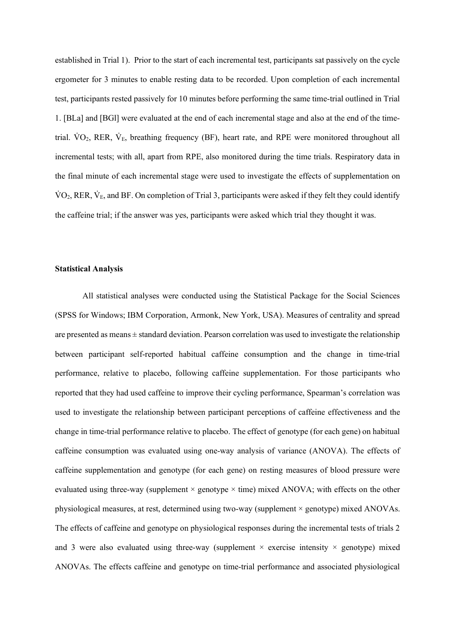established in Trial 1). Prior to the start of each incremental test, participants sat passively on the cycle ergometer for 3 minutes to enable resting data to be recorded. Upon completion of each incremental test, participants rested passively for 10 minutes before performing the same time-trial outlined in Trial 1. [BLa] and [BGl] were evaluated at the end of each incremental stage and also at the end of the timetrial.  $VO_2$ , RER,  $V_E$ , breathing frequency (BF), heart rate, and RPE were monitored throughout all incremental tests; with all, apart from RPE, also monitored during the time trials. Respiratory data in the final minute of each incremental stage were used to investigate the effects of supplementation on  $VO<sub>2</sub>$ , RER,  $V<sub>E</sub>$ , and BF. On completion of Trial 3, participants were asked if they felt they could identify the caffeine trial; if the answer was yes, participants were asked which trial they thought it was.

#### **Statistical Analysis**

All statistical analyses were conducted using the Statistical Package for the Social Sciences (SPSS for Windows; IBM Corporation, Armonk, New York, USA). Measures of centrality and spread are presented as means  $\pm$  standard deviation. Pearson correlation was used to investigate the relationship between participant self-reported habitual caffeine consumption and the change in time-trial performance, relative to placebo, following caffeine supplementation. For those participants who reported that they had used caffeine to improve their cycling performance, Spearman's correlation was used to investigate the relationship between participant perceptions of caffeine effectiveness and the change in time-trial performance relative to placebo. The effect of genotype (for each gene) on habitual caffeine consumption was evaluated using one-way analysis of variance (ANOVA). The effects of caffeine supplementation and genotype (for each gene) on resting measures of blood pressure were evaluated using three-way (supplement  $\times$  genotype  $\times$  time) mixed ANOVA; with effects on the other physiological measures, at rest, determined using two-way (supplement × genotype) mixed ANOVAs. The effects of caffeine and genotype on physiological responses during the incremental tests of trials 2 and 3 were also evaluated using three-way (supplement  $\times$  exercise intensity  $\times$  genotype) mixed ANOVAs. The effects caffeine and genotype on time-trial performance and associated physiological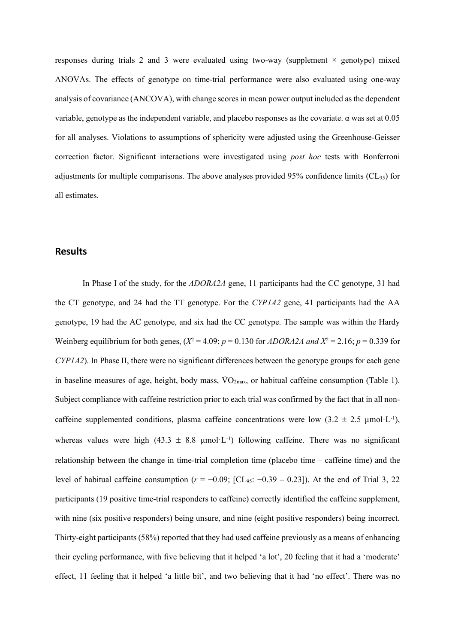responses during trials 2 and 3 were evaluated using two-way (supplement  $\times$  genotype) mixed ANOVAs. The effects of genotype on time-trial performance were also evaluated using one-way analysis of covariance (ANCOVA), with change scores in mean power output included as the dependent variable, genotype as the independent variable, and placebo responses as the covariate.  $\alpha$  was set at 0.05 for all analyses. Violations to assumptions of sphericity were adjusted using the Greenhouse-Geisser correction factor. Significant interactions were investigated using *post hoc* tests with Bonferroni adjustments for multiple comparisons. The above analyses provided 95% confidence limits  $(CL_{95})$  for all estimates.

# **Results**

In Phase I of the study, for the *ADORA2A* gene, 11 participants had the CC genotype, 31 had the CT genotype, and 24 had the TT genotype. For the *CYP1A2* gene, 41 participants had the AA genotype, 19 had the AC genotype, and six had the CC genotype. The sample was within the Hardy Weinberg equilibrium for both genes,  $(X^2 = 4.09; p = 0.130$  for  $ADORA2A$  and  $X^2 = 2.16; p = 0.339$  for *CYP1A2*). In Phase II, there were no significant differences between the genotype groups for each gene in baseline measures of age, height, body mass,  $\rm \dot{VO}_{2max}$ , or habitual caffeine consumption (Table 1). Subject compliance with caffeine restriction prior to each trial was confirmed by the fact that in all noncaffeine supplemented conditions, plasma caffeine concentrations were low  $(3.2 \pm 2.5 \text{ \mu mol} \cdot \text{L}^{-1})$ , whereas values were high (43.3  $\pm$  8.8 µmol·L<sup>-1</sup>) following caffeine. There was no significant relationship between the change in time-trial completion time (placebo time – caffeine time) and the level of habitual caffeine consumption (*r* = −0.09; [CL95: −0.39 – 0.23]). At the end of Trial 3, 22 participants (19 positive time-trial responders to caffeine) correctly identified the caffeine supplement, with nine (six positive responders) being unsure, and nine (eight positive responders) being incorrect. Thirty-eight participants (58%) reported that they had used caffeine previously as a means of enhancing their cycling performance, with five believing that it helped 'a lot', 20 feeling that it had a 'moderate' effect, 11 feeling that it helped 'a little bit', and two believing that it had 'no effect'. There was no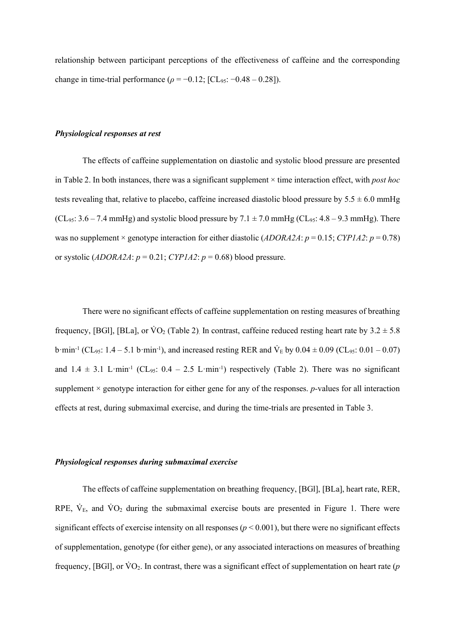relationship between participant perceptions of the effectiveness of caffeine and the corresponding change in time-trial performance ( $\rho = -0.12$ ; [CL<sub>95</sub>: -0.48 – 0.28]).

#### *Physiological responses at rest*

The effects of caffeine supplementation on diastolic and systolic blood pressure are presented in Table 2. In both instances, there was a significant supplement × time interaction effect, with *post hoc*  tests revealing that, relative to placebo, caffeine increased diastolic blood pressure by  $5.5 \pm 6.0$  mmHg  $(CL_{95}: 3.6 - 7.4 \text{ mmHg})$  and systolic blood pressure by  $7.1 \pm 7.0 \text{ mmHg}$  (CL<sub>95</sub>: 4.8 – 9.3 mmHg). There was no supplement × genotype interaction for either diastolic (*ADORA2A*: *p* = 0.15; *CYP1A2*: *p* = 0.78) or systolic ( $ADORA2A$ :  $p = 0.21$ ;  $CYPIA2$ :  $p = 0.68$ ) blood pressure.

There were no significant effects of caffeine supplementation on resting measures of breathing frequency, [BGl], [BLa], or  $\text{VO}_2$  (Table 2). In contrast, caffeine reduced resting heart rate by  $3.2 \pm 5.8$ b·min<sup>-1</sup> (CL<sub>95</sub>: 1.4 – 5.1 b·min<sup>-1</sup>), and increased resting RER and  $V_E$  by 0.04  $\pm$  0.09 (CL<sub>95</sub>: 0.01 – 0.07) and  $1.4 \pm 3.1$  L·min<sup>-1</sup> (CL<sub>95</sub>:  $0.4 - 2.5$  L·min<sup>-1</sup>) respectively (Table 2). There was no significant supplement × genotype interaction for either gene for any of the responses. *p-*values for all interaction effects at rest, during submaximal exercise, and during the time-trials are presented in Table 3.

#### *Physiological responses during submaximal exercise*

The effects of caffeine supplementation on breathing frequency, [BGl], [BLa], heart rate, RER, RPE,  $\dot{V}_E$ , and  $\dot{V}O_2$  during the submaximal exercise bouts are presented in Figure 1. There were significant effects of exercise intensity on all responses (*p* < 0.001), but there were no significant effects of supplementation, genotype (for either gene), or any associated interactions on measures of breathing frequency, [BGl], or  $\text{VO}_2$ . In contrast, there was a significant effect of supplementation on heart rate ( $p$ )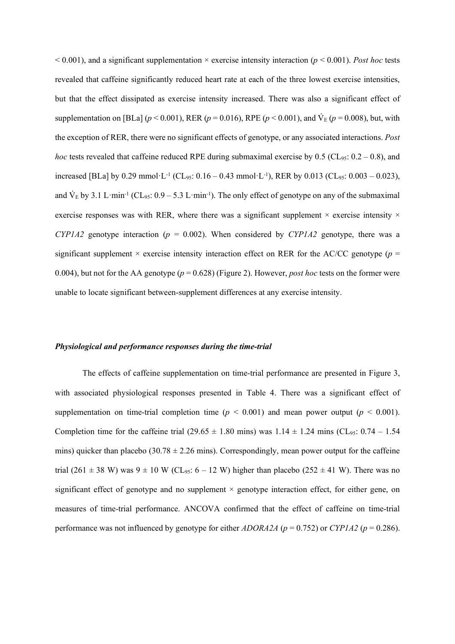$< 0.001$ ), and a significant supplementation  $\times$  exercise intensity interaction ( $p < 0.001$ ). *Post hoc* tests revealed that caffeine significantly reduced heart rate at each of the three lowest exercise intensities, but that the effect dissipated as exercise intensity increased. There was also a significant effect of supplementation on [BLa] ( $p < 0.001$ ), RER ( $p = 0.016$ ), RPE ( $p < 0.001$ ), and  $V_E$  ( $p = 0.008$ ), but, with the exception of RER, there were no significant effects of genotype, or any associated interactions. *Post hoc* tests revealed that caffeine reduced RPE during submaximal exercise by 0.5 (CL<sub>95</sub>:  $0.2 - 0.8$ ), and increased [BLa] by 0.29 mmol·L<sup>-1</sup> (CL<sub>95</sub>:  $0.16 - 0.43$  mmol·L<sup>-1</sup>), RER by 0.013 (CL<sub>95</sub>:  $0.003 - 0.023$ ), and  $V_E$  by 3.1 L·min<sup>-1</sup> (CL<sub>95</sub>: 0.9 – 5.3 L·min<sup>-1</sup>). The only effect of genotype on any of the submaximal exercise responses was with RER, where there was a significant supplement  $\times$  exercise intensity  $\times$ *CYP1A2* genotype interaction ( $p = 0.002$ ). When considered by *CYP1A2* genotype, there was a significant supplement  $\times$  exercise intensity interaction effect on RER for the AC/CC genotype ( $p =$ 0.004), but not for the AA genotype (*p* = 0.628) (Figure 2). However, *post hoc* tests on the former were unable to locate significant between-supplement differences at any exercise intensity.

#### *Physiological and performance responses during the time-trial*

The effects of caffeine supplementation on time-trial performance are presented in Figure 3, with associated physiological responses presented in Table 4. There was a significant effect of supplementation on time-trial completion time  $(p < 0.001)$  and mean power output  $(p < 0.001)$ . Completion time for the caffeine trial (29.65  $\pm$  1.80 mins) was 1.14  $\pm$  1.24 mins (CL<sub>95</sub>: 0.74 – 1.54 mins) quicker than placebo (30.78  $\pm$  2.26 mins). Correspondingly, mean power output for the caffeine trial (261  $\pm$  38 W) was 9  $\pm$  10 W (CL<sub>95</sub>: 6 – 12 W) higher than placebo (252  $\pm$  41 W). There was no significant effect of genotype and no supplement  $\times$  genotype interaction effect, for either gene, on measures of time-trial performance. ANCOVA confirmed that the effect of caffeine on time-trial performance was not influenced by genotype for either  $ADORA2A$  ( $p = 0.752$ ) or *CYP1A2* ( $p = 0.286$ ).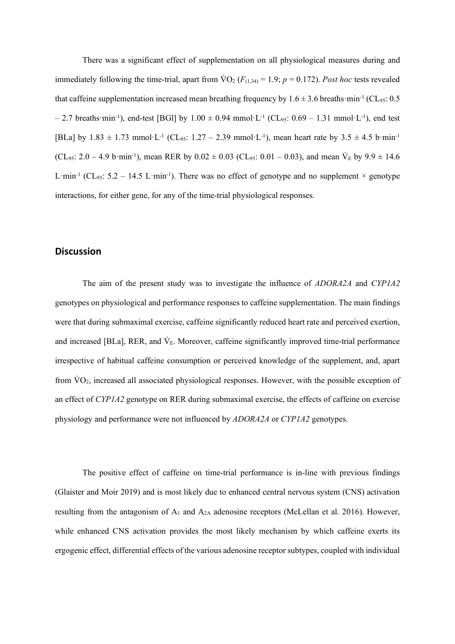There was a significant effect of supplementation on all physiological measures during and immediately following the time-trial, apart from  $\text{VO}_2$  ( $F_{(1,34)} = 1.9$ ;  $p = 0.172$ ). *Post hoc* tests revealed that caffeine supplementation increased mean breathing frequency by  $1.6 \pm 3.6$  breaths·min<sup>-1</sup> (CL<sub>95</sub>: 0.5)  $- 2.7$  breaths·min<sup>-1</sup>), end-test [BGl] by  $1.00 \pm 0.94$  mmol·L<sup>-1</sup> (CL<sub>95</sub>: 0.69 – 1.31 mmol·L<sup>-1</sup>), end test [BLa] by  $1.83 \pm 1.73$  mmol·L<sup>-1</sup> (CL<sub>95</sub>:  $1.27 - 2.39$  mmol·L<sup>-1</sup>), mean heart rate by  $3.5 \pm 4.5$  b·min<sup>-1</sup> (CL<sub>95</sub>: 2.0 – 4.9 b·min<sup>-1</sup>), mean RER by  $0.02 \pm 0.03$  (CL<sub>95</sub>: 0.01 – 0.03), and mean  $\dot{V}_E$  by  $9.9 \pm 14.6$ L·min<sup>-1</sup> (CL<sub>95</sub>: 5.2 – 14.5 L·min<sup>-1</sup>). There was no effect of genotype and no supplement  $\times$  genotype interactions, for either gene, for any of the time-trial physiological responses.

## **Discussion**

The aim of the present study was to investigate the influence of *ADORA2A* and *CYP1A2* genotypes on physiological and performance responses to caffeine supplementation. The main findings were that during submaximal exercise, caffeine significantly reduced heart rate and perceived exertion, and increased [BLa], RER, and  $\dot{V}_E$ . Moreover, caffeine significantly improved time-trial performance irrespective of habitual caffeine consumption or perceived knowledge of the supplement, and, apart from  $\rm VO_2$ , increased all associated physiological responses. However, with the possible exception of an effect of *CYP1A2* genotype on RER during submaximal exercise, the effects of caffeine on exercise physiology and performance were not influenced by *ADORA2A* or *CYP1A2* genotypes.

The positive effect of caffeine on time-trial performance is in-line with previous findings (Glaister and Moir 2019) and is most likely due to enhanced central nervous system (CNS) activation resulting from the antagonism of  $A_1$  and  $A_{2A}$  adenosine receptors (McLellan et al. 2016). However, while enhanced CNS activation provides the most likely mechanism by which caffeine exerts its ergogenic effect, differential effects of the various adenosine receptor subtypes, coupled with individual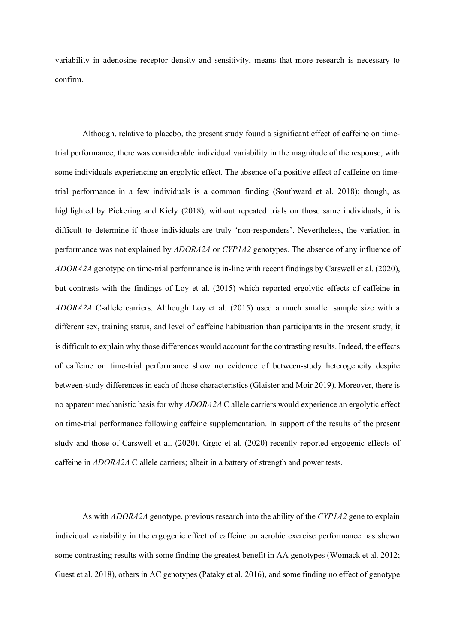variability in adenosine receptor density and sensitivity, means that more research is necessary to confirm.

Although, relative to placebo, the present study found a significant effect of caffeine on timetrial performance, there was considerable individual variability in the magnitude of the response, with some individuals experiencing an ergolytic effect. The absence of a positive effect of caffeine on timetrial performance in a few individuals is a common finding (Southward et al. 2018); though, as highlighted by Pickering and Kiely (2018), without repeated trials on those same individuals, it is difficult to determine if those individuals are truly 'non-responders'. Nevertheless, the variation in performance was not explained by *ADORA2A* or *CYP1A2* genotypes. The absence of any influence of *ADORA2A* genotype on time-trial performance is in-line with recent findings by Carswell et al. (2020), but contrasts with the findings of Loy et al. (2015) which reported ergolytic effects of caffeine in *ADORA2A* C-allele carriers. Although Loy et al. (2015) used a much smaller sample size with a different sex, training status, and level of caffeine habituation than participants in the present study, it is difficult to explain why those differences would account for the contrasting results. Indeed, the effects of caffeine on time-trial performance show no evidence of between-study heterogeneity despite between-study differences in each of those characteristics (Glaister and Moir 2019). Moreover, there is no apparent mechanistic basis for why *ADORA2A* C allele carriers would experience an ergolytic effect on time-trial performance following caffeine supplementation. In support of the results of the present study and those of Carswell et al. (2020), Grgic et al. (2020) recently reported ergogenic effects of caffeine in *ADORA2A* C allele carriers; albeit in a battery of strength and power tests.

As with *ADORA2A* genotype, previous research into the ability of the *CYP1A2* gene to explain individual variability in the ergogenic effect of caffeine on aerobic exercise performance has shown some contrasting results with some finding the greatest benefit in AA genotypes (Womack et al. 2012; Guest et al. 2018), others in AC genotypes (Pataky et al. 2016), and some finding no effect of genotype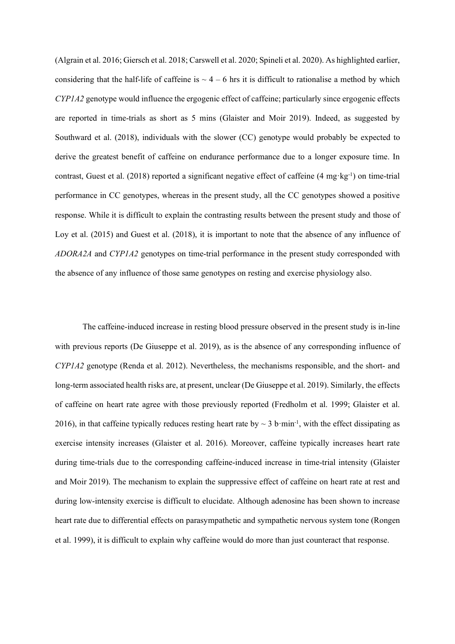(Algrain et al. 2016; Giersch et al. 2018; Carswell et al. 2020; Spineli et al. 2020). As highlighted earlier, considering that the half-life of caffeine is  $\sim$  4 – 6 hrs it is difficult to rationalise a method by which *CYP1A2* genotype would influence the ergogenic effect of caffeine; particularly since ergogenic effects are reported in time-trials as short as 5 mins (Glaister and Moir 2019). Indeed, as suggested by Southward et al. (2018), individuals with the slower (CC) genotype would probably be expected to derive the greatest benefit of caffeine on endurance performance due to a longer exposure time. In contrast, Guest et al. (2018) reported a significant negative effect of caffeine (4 mg·kg-1) on time-trial performance in CC genotypes, whereas in the present study, all the CC genotypes showed a positive response. While it is difficult to explain the contrasting results between the present study and those of Loy et al. (2015) and Guest et al. (2018), it is important to note that the absence of any influence of *ADORA2A* and *CYP1A2* genotypes on time-trial performance in the present study corresponded with the absence of any influence of those same genotypes on resting and exercise physiology also.

The caffeine-induced increase in resting blood pressure observed in the present study is in-line with previous reports (De Giuseppe et al. 2019), as is the absence of any corresponding influence of *CYP1A2* genotype (Renda et al. 2012). Nevertheless, the mechanisms responsible, and the short- and long-term associated health risks are, at present, unclear (De Giuseppe et al. 2019). Similarly, the effects of caffeine on heart rate agree with those previously reported (Fredholm et al. 1999; Glaister et al. 2016), in that caffeine typically reduces resting heart rate by  $\sim$  3 b·min<sup>-1</sup>, with the effect dissipating as exercise intensity increases (Glaister et al. 2016). Moreover, caffeine typically increases heart rate during time-trials due to the corresponding caffeine-induced increase in time-trial intensity (Glaister and Moir 2019). The mechanism to explain the suppressive effect of caffeine on heart rate at rest and during low-intensity exercise is difficult to elucidate. Although adenosine has been shown to increase heart rate due to differential effects on parasympathetic and sympathetic nervous system tone (Rongen et al. 1999), it is difficult to explain why caffeine would do more than just counteract that response.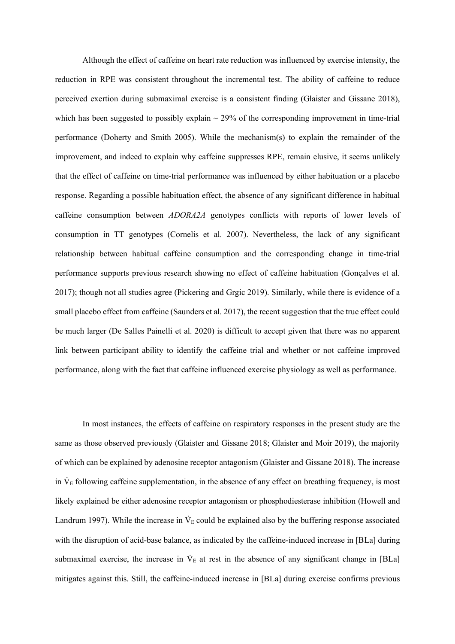Although the effect of caffeine on heart rate reduction was influenced by exercise intensity, the reduction in RPE was consistent throughout the incremental test. The ability of caffeine to reduce perceived exertion during submaximal exercise is a consistent finding (Glaister and Gissane 2018), which has been suggested to possibly explain  $\sim$  29% of the corresponding improvement in time-trial performance (Doherty and Smith 2005). While the mechanism(s) to explain the remainder of the improvement, and indeed to explain why caffeine suppresses RPE, remain elusive, it seems unlikely that the effect of caffeine on time-trial performance was influenced by either habituation or a placebo response. Regarding a possible habituation effect, the absence of any significant difference in habitual caffeine consumption between *ADORA2A* genotypes conflicts with reports of lower levels of consumption in TT genotypes (Cornelis et al. 2007). Nevertheless, the lack of any significant relationship between habitual caffeine consumption and the corresponding change in time-trial performance supports previous research showing no effect of caffeine habituation (Gonçalves et al. 2017); though not all studies agree (Pickering and Grgic 2019). Similarly, while there is evidence of a small placebo effect from caffeine (Saunders et al. 2017), the recent suggestion that the true effect could be much larger (De Salles Painelli et al. 2020) is difficult to accept given that there was no apparent link between participant ability to identify the caffeine trial and whether or not caffeine improved performance, along with the fact that caffeine influenced exercise physiology as well as performance.

In most instances, the effects of caffeine on respiratory responses in the present study are the same as those observed previously (Glaister and Gissane 2018; Glaister and Moir 2019), the majority of which can be explained by adenosine receptor antagonism (Glaister and Gissane 2018). The increase in  $V_{E}$  following caffeine supplementation, in the absence of any effect on breathing frequency, is most likely explained be either adenosine receptor antagonism or phosphodiesterase inhibition (Howell and Landrum 1997). While the increase in  $\dot{V}_E$  could be explained also by the buffering response associated with the disruption of acid-base balance, as indicated by the caffeine-induced increase in [BLa] during submaximal exercise, the increase in  $\dot{V}_E$  at rest in the absence of any significant change in [BLa] mitigates against this. Still, the caffeine-induced increase in [BLa] during exercise confirms previous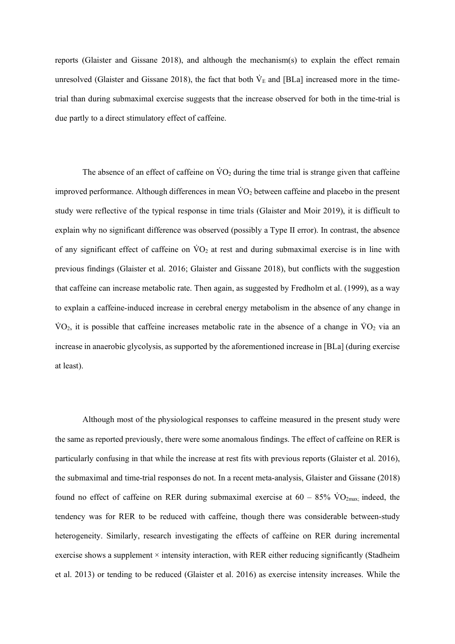reports (Glaister and Gissane 2018), and although the mechanism(s) to explain the effect remain unresolved (Glaister and Gissane 2018), the fact that both  $\dot{V}_E$  and [BLa] increased more in the timetrial than during submaximal exercise suggests that the increase observed for both in the time-trial is due partly to a direct stimulatory effect of caffeine.

The absence of an effect of caffeine on  $\rm\dot{VO}_2$  during the time trial is strange given that caffeine improved performance. Although differences in mean  $\rm\dot{V}O_2$  between caffeine and placebo in the present study were reflective of the typical response in time trials (Glaister and Moir 2019), it is difficult to explain why no significant difference was observed (possibly a Type II error). In contrast, the absence of any significant effect of caffeine on  $\rm\dot{VO}_2$  at rest and during submaximal exercise is in line with previous findings (Glaister et al. 2016; Glaister and Gissane 2018), but conflicts with the suggestion that caffeine can increase metabolic rate. Then again, as suggested by Fredholm et al. (1999), as a way to explain a caffeine-induced increase in cerebral energy metabolism in the absence of any change in  $\rm \dot{VO}_2$ , it is possible that caffeine increases metabolic rate in the absence of a change in  $\rm \dot{VO}_2$  via an increase in anaerobic glycolysis, as supported by the aforementioned increase in [BLa] (during exercise at least).

Although most of the physiological responses to caffeine measured in the present study were the same as reported previously, there were some anomalous findings. The effect of caffeine on RER is particularly confusing in that while the increase at rest fits with previous reports (Glaister et al. 2016), the submaximal and time-trial responses do not. In a recent meta-analysis, Glaister and Gissane (2018) found no effect of caffeine on RER during submaximal exercise at  $60 - 85\%$  VO<sub>2max;</sub> indeed, the tendency was for RER to be reduced with caffeine, though there was considerable between-study heterogeneity. Similarly, research investigating the effects of caffeine on RER during incremental exercise shows a supplement  $\times$  intensity interaction, with RER either reducing significantly (Stadheim et al. 2013) or tending to be reduced (Glaister et al. 2016) as exercise intensity increases. While the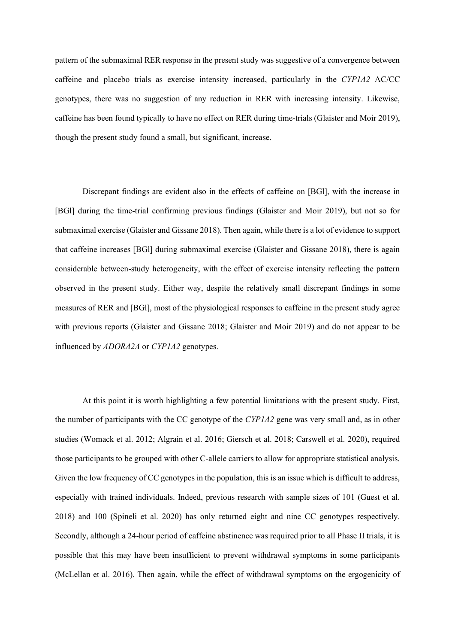pattern of the submaximal RER response in the present study was suggestive of a convergence between caffeine and placebo trials as exercise intensity increased, particularly in the *CYP1A2* AC/CC genotypes, there was no suggestion of any reduction in RER with increasing intensity. Likewise, caffeine has been found typically to have no effect on RER during time-trials (Glaister and Moir 2019), though the present study found a small, but significant, increase.

Discrepant findings are evident also in the effects of caffeine on [BGl], with the increase in [BGl] during the time-trial confirming previous findings (Glaister and Moir 2019), but not so for submaximal exercise (Glaister and Gissane 2018). Then again, while there is a lot of evidence to support that caffeine increases [BGl] during submaximal exercise (Glaister and Gissane 2018), there is again considerable between-study heterogeneity, with the effect of exercise intensity reflecting the pattern observed in the present study. Either way, despite the relatively small discrepant findings in some measures of RER and [BGl], most of the physiological responses to caffeine in the present study agree with previous reports (Glaister and Gissane 2018; Glaister and Moir 2019) and do not appear to be influenced by *ADORA2A* or *CYP1A2* genotypes.

At this point it is worth highlighting a few potential limitations with the present study. First, the number of participants with the CC genotype of the *CYP1A2* gene was very small and, as in other studies (Womack et al. 2012; Algrain et al. 2016; Giersch et al. 2018; Carswell et al. 2020), required those participants to be grouped with other C-allele carriers to allow for appropriate statistical analysis. Given the low frequency of CC genotypes in the population, this is an issue which is difficult to address, especially with trained individuals. Indeed, previous research with sample sizes of 101 (Guest et al. 2018) and 100 (Spineli et al. 2020) has only returned eight and nine CC genotypes respectively. Secondly, although a 24-hour period of caffeine abstinence was required prior to all Phase II trials, it is possible that this may have been insufficient to prevent withdrawal symptoms in some participants (McLellan et al. 2016). Then again, while the effect of withdrawal symptoms on the ergogenicity of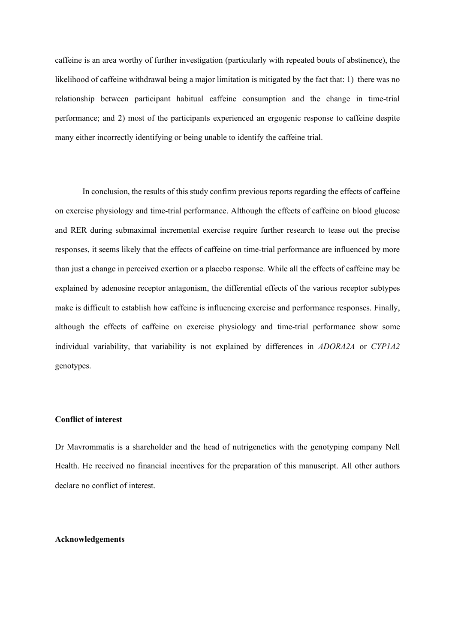caffeine is an area worthy of further investigation (particularly with repeated bouts of abstinence), the likelihood of caffeine withdrawal being a major limitation is mitigated by the fact that: 1) there was no relationship between participant habitual caffeine consumption and the change in time-trial performance; and 2) most of the participants experienced an ergogenic response to caffeine despite many either incorrectly identifying or being unable to identify the caffeine trial.

In conclusion, the results of this study confirm previous reports regarding the effects of caffeine on exercise physiology and time-trial performance. Although the effects of caffeine on blood glucose and RER during submaximal incremental exercise require further research to tease out the precise responses, it seems likely that the effects of caffeine on time-trial performance are influenced by more than just a change in perceived exertion or a placebo response. While all the effects of caffeine may be explained by adenosine receptor antagonism, the differential effects of the various receptor subtypes make is difficult to establish how caffeine is influencing exercise and performance responses. Finally, although the effects of caffeine on exercise physiology and time-trial performance show some individual variability, that variability is not explained by differences in *ADORA2A* or *CYP1A2* genotypes.

## **Conflict of interest**

Dr Mavrommatis is a shareholder and the head of nutrigenetics with the genotyping company Nell Health. He received no financial incentives for the preparation of this manuscript. All other authors declare no conflict of interest.

#### **Acknowledgements**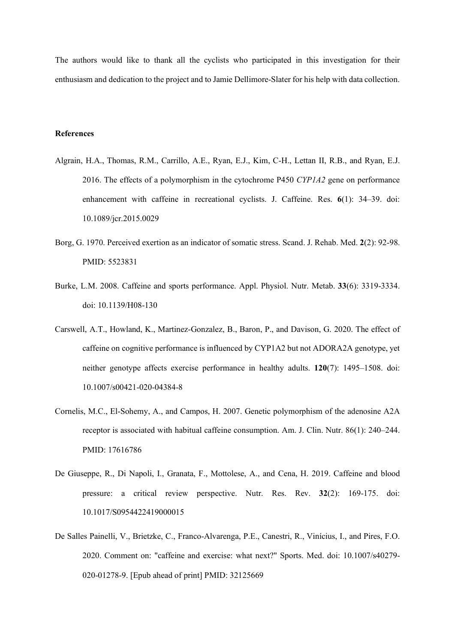The authors would like to thank all the cyclists who participated in this investigation for their enthusiasm and dedication to the project and to Jamie Dellimore-Slater for his help with data collection.

#### **References**

- Algrain, H.A., Thomas, R.M., Carrillo, A.E., Ryan, E.J., Kim, C-H., Lettan II, R.B., and Ryan, E.J. 2016. The effects of a polymorphism in the cytochrome P450 *CYP1A2* gene on performance enhancement with caffeine in recreational cyclists. J. Caffeine. Res. **6**(1): 34–39. doi: 10.1089/jcr.2015.0029
- Borg, G. 1970. Perceived exertion as an indicator of somatic stress. Scand. J. Rehab. Med. **2**(2): 92-98. PMID: 5523831
- Burke, L.M. 2008. Caffeine and sports performance. Appl. Physiol. Nutr. Metab. **33**(6): 3319-3334. doi: 10.1139/H08-130
- Carswell, A.T., Howland, K., Martinez-Gonzalez, B., Baron, P., and Davison, G. 2020. The effect of caffeine on cognitive performance is influenced by CYP1A2 but not ADORA2A genotype, yet neither genotype affects exercise performance in healthy adults. **120**(7): 1495–1508. doi: 10.1007/s00421-020-04384-8
- Cornelis, M.C., El-Sohemy, A., and Campos, H. 2007. Genetic polymorphism of the adenosine A2A receptor is associated with habitual caffeine consumption. Am. J. Clin. Nutr. 86(1): 240–244. PMID: 17616786
- De Giuseppe, R., Di Napoli, I., Granata, F., Mottolese, A., and Cena, H. 2019. Caffeine and blood pressure: a critical review perspective. Nutr. Res. Rev. **32**(2): 169-175. doi: 10.1017/S0954422419000015
- De Salles Painelli, V., Brietzke, C., Franco-Alvarenga, P.E., Canestri, R., Vinícius, I., and Pires, F.O. 2020. Comment on: "caffeine and exercise: what next?" Sports. Med. doi: 10.1007/s40279- 020-01278-9. [Epub ahead of print] PMID: 32125669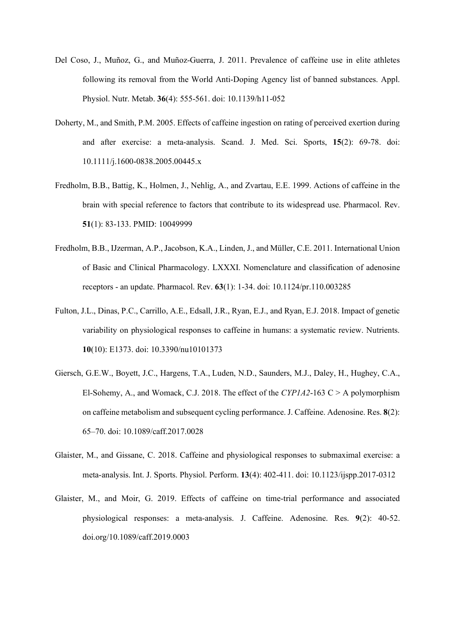- Del Coso, J., Muñoz, G., and Muñoz-Guerra, J. 2011. Prevalence of caffeine use in elite athletes following its removal from the World Anti-Doping Agency list of banned substances. Appl. Physiol. Nutr. Metab. **36**(4): 555-561. doi: 10.1139/h11-052
- Doherty, M., and Smith, P.M. 2005. Effects of caffeine ingestion on rating of perceived exertion during and after exercise: a meta-analysis. Scand. J. Med. Sci. Sports, **15**(2): 69-78. doi: 10.1111/j.1600-0838.2005.00445.x
- Fredholm, B.B., Battig, K., Holmen, J., Nehlig, A., and Zvartau, E.E. 1999. Actions of caffeine in the brain with special reference to factors that contribute to its widespread use. Pharmacol. Rev. **51**(1): 83-133. PMID: 10049999
- Fredholm, B.B., IJzerman, A.P., Jacobson, K.A., Linden, J., and Müller, C.E. 2011. International Union of Basic and Clinical Pharmacology. LXXXI. Nomenclature and classification of adenosine receptors - an update. Pharmacol. Rev. **63**(1): 1-34. doi: 10.1124/pr.110.003285
- Fulton, J.L., Dinas, P.C., Carrillo, A.E., Edsall, J.R., Ryan, E.J., and Ryan, E.J. 2018. Impact of genetic variability on physiological responses to caffeine in humans: a systematic review. Nutrients. **10**(10): E1373. doi: 10.3390/nu10101373
- Giersch, G.E.W., Boyett, J.C., Hargens, T.A., Luden, N.D., Saunders, M.J., Daley, H., Hughey, C.A., El-Sohemy, A., and Womack, C.J. 2018. The effect of the  $CYP1A2-163 \text{ C} > A$  polymorphism on caffeine metabolism and subsequent cycling performance. J. Caffeine. Adenosine. Res. **8**(2): 65–70. doi: 10.1089/caff.2017.0028
- Glaister, M., and Gissane, C. 2018. Caffeine and physiological responses to submaximal exercise: a meta-analysis. Int. J. Sports. Physiol. Perform. **13**(4): 402-411. doi: 10.1123/ijspp.2017-0312
- Glaister, M., and Moir, G. 2019. Effects of caffeine on time-trial performance and associated physiological responses: a meta-analysis. J. Caffeine. Adenosine. Res. **9**(2): 40-52. doi.org/10.1089/caff.2019.0003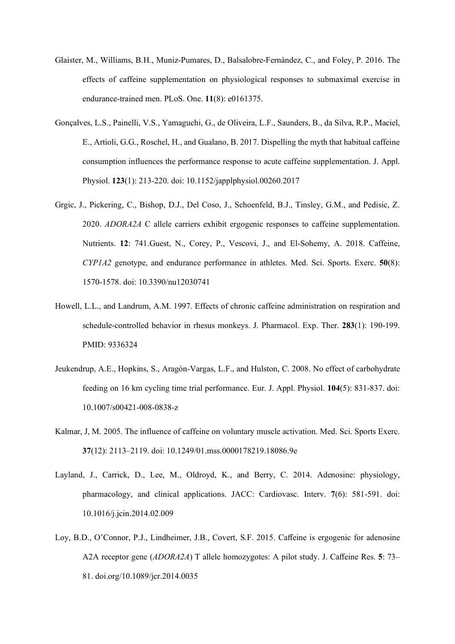- Glaister, M., Williams, B.H., Muniz-Pumares, D., Balsalobre-Fernández, C., and Foley, P. 2016. The effects of caffeine supplementation on physiological responses to submaximal exercise in endurance-trained men. PLoS. One. **11**(8): e0161375.
- Gonçalves, L.S., Painelli, V.S., Yamaguchi, G., de Oliveira, L.F., Saunders, B., da Silva, R.P., Maciel, E., Artioli, G.G., Roschel, H., and Gualano, B. 2017. Dispelling the myth that habitual caffeine consumption influences the performance response to acute caffeine supplementation. J. Appl. Physiol. **123**(1): 213-220. doi: 10.1152/japplphysiol.00260.2017
- Grgic, J., Pickering, C., Bishop, D.J., Del Coso, J., Schoenfeld, B.J., Tinsley, G.M., and Pedisic, Z. 2020. *ADORA2A* C allele carriers exhibit ergogenic responses to caffeine supplementation. Nutrients. **12**: 741.Guest, N., Corey, P., Vescovi, J., and El-Sohemy, A. 2018. Caffeine, *CYP1A2* genotype, and endurance performance in athletes. Med. Sci. Sports. Exerc. **50**(8): 1570-1578. doi: 10.3390/nu12030741
- Howell, L.L., and Landrum, A.M. 1997. Effects of chronic caffeine administration on respiration and schedule-controlled behavior in rhesus monkeys. J. Pharmacol. Exp. Ther. **283**(1): 190-199. PMID: 9336324
- Jeukendrup, A.E., Hopkins, S., Aragón-Vargas, L.F., and Hulston, C. 2008. No effect of carbohydrate feeding on 16 km cycling time trial performance. Eur. J. Appl. Physiol. **104**(5): 831-837. doi: 10.1007/s00421-008-0838-z
- Kalmar, J, M. 2005. The influence of caffeine on voluntary muscle activation. Med. Sci. Sports Exerc. **37**(12): 2113–2119. doi: 10.1249/01.mss.0000178219.18086.9e
- Layland, J., Carrick, D., Lee, M., Oldroyd, K., and Berry, C. 2014. Adenosine: physiology, pharmacology, and clinical applications. JACC: Cardiovasc. Interv. **7**(6): 581-591. doi: 10.1016/j.jcin.2014.02.009
- Loy, B.D., O'Connor, P.J., Lindheimer, J.B., Covert, S.F. 2015. Caffeine is ergogenic for adenosine A2A receptor gene (*ADORA2A*) T allele homozygotes: A pilot study. J. Caffeine Res. **5**: 73– 81. doi.org/10.1089/jcr.2014.0035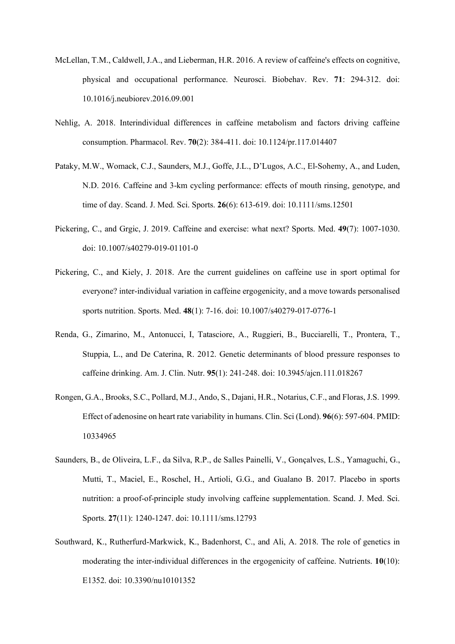- McLellan, T.M., Caldwell, J.A., and Lieberman, H.R. 2016. A review of caffeine's effects on cognitive, physical and occupational performance. Neurosci. Biobehav. Rev. **71**: 294-312. doi: 10.1016/j.neubiorev.2016.09.001
- Nehlig, A. 2018. Interindividual differences in caffeine metabolism and factors driving caffeine consumption. Pharmacol. Rev. **70**(2): 384-411. doi: 10.1124/pr.117.014407
- Pataky, M.W., Womack, C.J., Saunders, M.J., Goffe, J.L., D'Lugos, A.C., El-Sohemy, A., and Luden, N.D. 2016. Caffeine and 3-km cycling performance: effects of mouth rinsing, genotype, and time of day. Scand. J. Med. Sci. Sports. **26**(6): 613-619. doi: 10.1111/sms.12501
- Pickering, C., and Grgic, J. 2019. Caffeine and exercise: what next? Sports. Med. **49**(7): 1007-1030. doi: 10.1007/s40279-019-01101-0
- Pickering, C., and Kiely, J. 2018. Are the current guidelines on caffeine use in sport optimal for everyone? inter-individual variation in caffeine ergogenicity, and a move towards personalised sports nutrition. Sports. Med. **48**(1): 7-16. doi: 10.1007/s40279-017-0776-1
- Renda, G., Zimarino, M., Antonucci, I, Tatasciore, A., Ruggieri, B., Bucciarelli, T., Prontera, T., Stuppia, L., and De Caterina, R. 2012. Genetic determinants of blood pressure responses to caffeine drinking. Am. J. Clin. Nutr. **95**(1): 241-248. doi: 10.3945/ajcn.111.018267
- Rongen, G.A., Brooks, S.C., Pollard, M.J., Ando, S., Dajani, H.R., Notarius, C.F., and Floras, J.S. 1999. Effect of adenosine on heart rate variability in humans. Clin. Sci (Lond). **96**(6): 597-604. PMID: 10334965
- Saunders, B., de Oliveira, L.F., da Silva, R.P., de Salles Painelli, V., Gonçalves, L.S., Yamaguchi, G., Mutti, T., Maciel, E., Roschel, H., Artioli, G.G., and Gualano B. 2017. Placebo in sports nutrition: a proof-of-principle study involving caffeine supplementation. Scand. J. Med. Sci. Sports. **27**(11): 1240-1247. doi: 10.1111/sms.12793
- Southward, K., Rutherfurd-Markwick, K., Badenhorst, C., and Ali, A. 2018. The role of genetics in moderating the inter-individual differences in the ergogenicity of caffeine. Nutrients. **10**(10): E1352. doi: 10.3390/nu10101352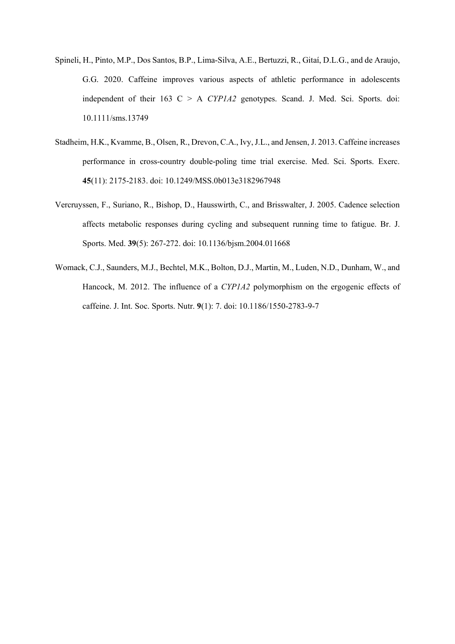- Spineli, H., Pinto, M.P., Dos Santos, B.P., Lima‐Silva, A.E., Bertuzzi, R., Gitaí, D.L.G., and de Araujo, G.G. 2020. Caffeine improves various aspects of athletic performance in adolescents independent of their 163 C > A *CYP1A2* genotypes. Scand. J. Med. Sci. Sports. doi: 10.1111/sms.13749
- Stadheim, H.K., Kvamme, B., Olsen, R., Drevon, C.A., Ivy, J.L., and Jensen, J. 2013. Caffeine increases performance in cross-country double-poling time trial exercise. Med. Sci. Sports. Exerc. **45**(11): 2175-2183. doi: 10.1249/MSS.0b013e3182967948
- Vercruyssen, F., Suriano, R., Bishop, D., Hausswirth, C., and Brisswalter, J. 2005. Cadence selection affects metabolic responses during cycling and subsequent running time to fatigue. Br. J. Sports. Med. **39**(5): 267-272. doi: 10.1136/bjsm.2004.011668
- Womack, C.J., Saunders, M.J., Bechtel, M.K., Bolton, D.J., Martin, M., Luden, N.D., Dunham, W., and Hancock, M. 2012. The influence of a *CYP1A2* polymorphism on the ergogenic effects of caffeine. J. Int. Soc. Sports. Nutr. **9**(1): 7. doi: 10.1186/1550-2783-9-7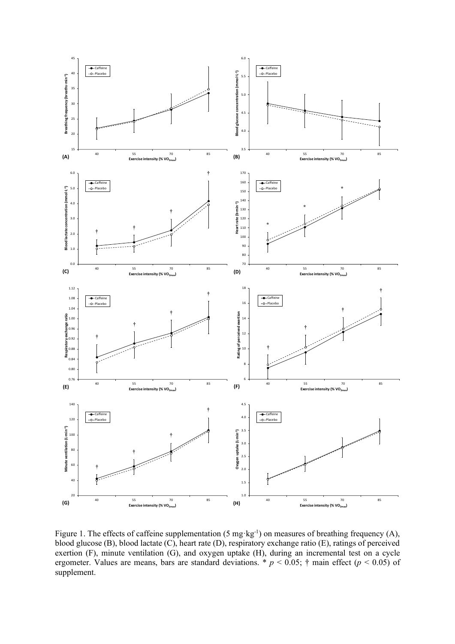

Figure 1. The effects of caffeine supplementation (5 mg·kg<sup>-1</sup>) on measures of breathing frequency (A), blood glucose (B), blood lactate (C), heart rate (D), respiratory exchange ratio (E), ratings of perceived exertion (F), minute ventilation (G), and oxygen uptake (H), during an incremental test on a cycle ergometer. Values are means, bars are standard deviations. \* *p* < 0.05; † main effect (*p* < 0.05) of supplement.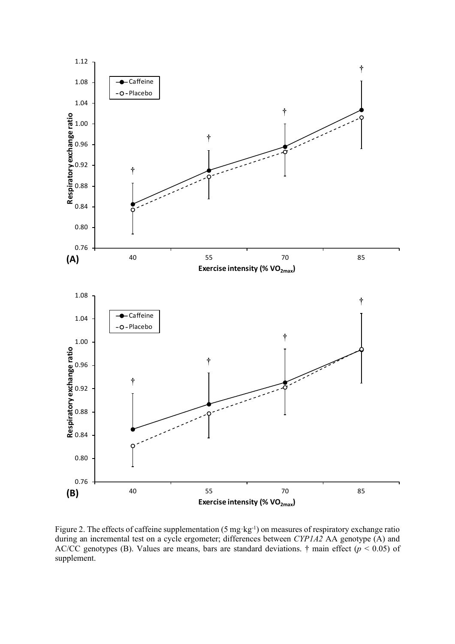

Figure 2. The effects of caffeine supplementation (5 mg·kg<sup>-1</sup>) on measures of respiratory exchange ratio during an incremental test on a cycle ergometer; differences between *CYP1A2* AA genotype (A) and AC/CC genotypes (B). Values are means, bars are standard deviations. † main effect (*p* < 0.05) of supplement.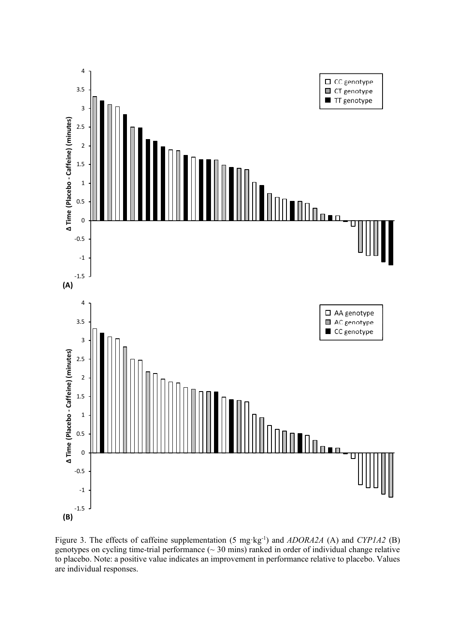

Figure 3. The effects of caffeine supplementation (5 mg·kg-1) and *ADORA2A* (A) and *CYP1A2* (B) genotypes on cycling time-trial performance  $(\sim 30 \text{ mins})$  ranked in order of individual change relative to placebo. Note: a positive value indicates an improvement in performance relative to placebo. Values are individual responses.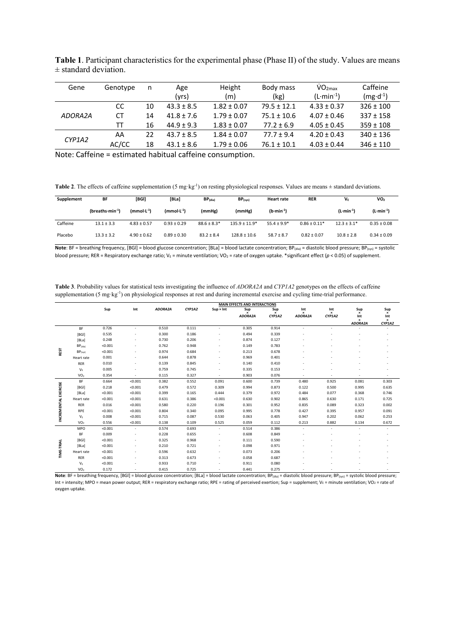| Gene<br>Genotype |    | Age            | Height          | Body mass       | VO <sub>2max</sub> | Caffeine            |  |
|------------------|----|----------------|-----------------|-----------------|--------------------|---------------------|--|
|                  |    | (yrs)          | (m)             | (kg)            | $(L·min-1)$        | $(mg \cdot d^{-1})$ |  |
| CC               | 10 | $43.3 \pm 8.5$ | $1.82 \pm 0.07$ | $79.5 \pm 12.1$ | $4.33 \pm 0.37$    | $326 \pm 100$       |  |
| <b>CT</b>        | 14 | $41.8 \pm 7.6$ | $1.79 \pm 0.07$ | $75.1 \pm 10.6$ | $4.07 \pm 0.46$    | $337 \pm 158$       |  |
| тт               | 16 | $44.9 + 9.3$   | $1.83 \pm 0.07$ | $77.2 \pm 6.9$  | $4.05 \pm 0.45$    | $359 \pm 108$       |  |
| AA               | 22 | $43.7 + 8.5$   | $1.84 \pm 0.07$ | $77.7 + 9.4$    | $4.20 \pm 0.43$    | $340 \pm 136$       |  |
| AC/CC            | 18 | $43.1 \pm 8.6$ | $1.79 \pm 0.06$ | $76.1 \pm 10.1$ | $4.03 \pm 0.44$    | $346 \pm 110$       |  |
|                  |    | n              |                 |                 |                    |                     |  |

**Table 1**. Participant characteristics for the experimental phase (Phase II) of the study. Values are means  $±$  standard deviation.

Note: Caffeine = estimated habitual caffeine consumption.

**Table 2.** The effects of caffeine supplementation (5 mg·kg<sup>-1</sup>) on resting physiological responses. Values are means  $\pm$  standard deviations.

| Supplement | BF               | [BGI]           | [BLa]           | $BP$ (dia)      | $BP$ <sub>(sys)</sub> | <b>Heart rate</b>    | <b>RER</b>       | V۴              | VO <sub>2</sub> |
|------------|------------------|-----------------|-----------------|-----------------|-----------------------|----------------------|------------------|-----------------|-----------------|
|            | $(breaks·min-1)$ | $(mmol·L-1)$    | $(mmol·L-1)$    | (mmHg)          | (mmHg)                | $(b \cdot min^{-1})$ |                  | $(L·min-1)$     | $(L·min-1)$     |
| Caffeine   | $13.1 \pm 3.3$   | $4.83 \pm 0.57$ | $0.93 \pm 0.29$ | $88.6 \pm 8.3*$ | $135.9 \pm 11.9*$     | $55.4 \pm 9.9^*$     | $0.86 \pm 0.11*$ | $12.3 \pm 3.1*$ | $0.35 \pm 0.08$ |
| Placebo    | $13.3 \pm 3.2$   | $4.90 \pm 0.62$ | $0.89 \pm 0.30$ | $83.2 \pm 8.4$  | $128.8 \pm 10.6$      | $58.7 \pm 8.7$       | $0.82 \pm 0.07$  | $10.8 \pm 2.8$  | $0.34 \pm 0.09$ |

**Note**: BF = breathing frequency, [BGI] = blood glucose concentration; [BLa] = blood lactate concentration; BP<sub>(dia)</sub> = diastolic blood pressure; BP<sub>(sys)</sub> = systolic blood pressure; RER = Respiratory exchange ratio; V<sub>E</sub> = minute ventilation; VO<sub>2</sub> = rate of oxygen uptake. \*significant effect (*p* < 0.05) of supplement.

| Table 3. Probability values for statistical tests investigating the influence of ADORA2A and CYP1A2 genotypes on the effects of caffeine                     |  |
|--------------------------------------------------------------------------------------------------------------------------------------------------------------|--|
| supplementation $(5 \text{ mg} \cdot \text{kg}^{-1})$ on physiological responses at rest and during incremental exercise and cycling time-trial performance. |  |

|                             |                       | <b>MAIN EFFECTS AND INTERACTIONS</b> |         |         |        |                  |                |               |                            |                           |                                                |                                          |
|-----------------------------|-----------------------|--------------------------------------|---------|---------|--------|------------------|----------------|---------------|----------------------------|---------------------------|------------------------------------------------|------------------------------------------|
|                             |                       | Sup                                  | Int     | ADORA2A | CYP1A2 | $Sup \times Int$ | Sup<br>ADORA2A | Sup<br>CYP1A2 | Int<br>$\times$<br>ADORA2A | Int<br>$\times$<br>CYP1A2 | $\mathop{\mathsf{Sup}}_\mathsf{x}$<br>Int<br>× | Sup<br>$\times$<br>Int<br>$\pmb{\times}$ |
|                             | <b>BF</b>             | 0.726                                | ٠       | 0.510   | 0.111  |                  | 0.305          | 0.914         | ٠                          |                           | ADORA2A                                        | CYP1A2                                   |
|                             | [BGI]                 | 0.535                                |         | 0.300   | 0.186  |                  | 0.494          | 0.339         |                            |                           |                                                |                                          |
|                             | [BLa]                 | 0.248                                |         | 0.730   | 0.206  |                  | 0.874          | 0.127         |                            |                           |                                                |                                          |
|                             | $BP$ <sub>(dia)</sub> | < 0.001                              |         | 0.762   | 0.948  |                  | 0.149          | 0.783         |                            |                           |                                                |                                          |
| REST                        | $BP$ <sub>(sys)</sub> | < 0.001                              |         | 0.974   | 0.684  |                  | 0.213          | 0.678         |                            |                           |                                                |                                          |
|                             | Heart rate            | 0.001                                |         | 0.644   | 0.878  |                  | 0.969          | 0.401         |                            |                           |                                                |                                          |
|                             | <b>RER</b>            | 0.010                                | ٠       | 0.139   | 0.845  |                  | 0.140          | 0.410         |                            |                           |                                                |                                          |
|                             | $V_{E}$               | 0.005                                | ٠       | 0.759   | 0.745  |                  | 0.335          | 0.153         |                            |                           |                                                |                                          |
|                             | VO <sub>2</sub>       | 0.354                                |         | 0.115   | 0.327  |                  | 0.903          | 0.076         |                            |                           |                                                | ٠                                        |
| <b>INCREMENTAL EXERCISE</b> | <b>BF</b>             | 0.664                                | < 0.001 | 0.382   | 0.552  | 0.091            | 0.600          | 0.739         | 0.480                      | 0.925                     | 0.081                                          | 0.303                                    |
|                             | [BGI]                 | 0.218                                | < 0.001 | 0.479   | 0.572  | 0.309            | 0.994          | 0.873         | 0.122                      | 0.500                     | 0.995                                          | 0.635                                    |
|                             | [BLa]                 | < 0.001                              | < 0.001 | 0.399   | 0.165  | 0.444            | 0.379          | 0.972         | 0.484                      | 0.077                     | 0.368                                          | 0.746                                    |
|                             | Heart rate            | < 0.001                              | < 0.001 | 0.631   | 0.386  | < 0.001          | 0.630          | 0.902         | 0.865                      | 0.630                     | 0.171                                          | 0.725                                    |
|                             | <b>RER</b>            | 0.016                                | < 0.001 | 0.580   | 0.220  | 0.196            | 0.301          | 0.952         | 0.835                      | 0.089                     | 0.323                                          | 0.002                                    |
|                             | RPE                   | < 0.001                              | < 0.001 | 0.804   | 0.340  | 0.095            | 0.995          | 0.778         | 0.427                      | 0.395                     | 0.957                                          | 0.091                                    |
|                             | $V_{E}$               | 0.008                                | < 0.001 | 0.715   | 0.087  | 0.530            | 0.063          | 0.405         | 0.947                      | 0.202                     | 0.062                                          | 0.253                                    |
|                             | VO <sub>2</sub>       | 0.556                                | < 0.001 | 0.138   | 0.109  | 0.525            | 0.059          | 0.112         | 0.213                      | 0.882                     | 0.134                                          | 0.672                                    |
|                             | <b>MPO</b>            | < 0.001                              | ٠       | 0.574   | 0.693  | $\sim$           | 0.514          | 0.386         | ÷.                         |                           |                                                | $\sim$                                   |
|                             | <b>BF</b>             | 0.009                                | ٠       | 0.228   | 0.655  | ٠                | 0.608          | 0.849         |                            |                           |                                                |                                          |
|                             | [BG]                  | < 0.001                              | ٠       | 0.325   | 0.968  |                  | 0.111          | 0.590         |                            |                           |                                                |                                          |
|                             | [BLa]                 | < 0.001                              |         | 0.210   | 0.721  |                  | 0.098          | 0.971         |                            |                           |                                                |                                          |
| <b>TIME-TRIAL</b>           | Heart rate            | < 0.001                              | ٠       | 0.596   | 0.632  |                  | 0.073          | 0.206         |                            |                           |                                                |                                          |
|                             | <b>RER</b>            | < 0.001                              |         | 0.313   | 0.673  |                  | 0.058          | 0.687         |                            |                           |                                                |                                          |
|                             | $V_{E}$               | < 0.001                              |         | 0.933   | 0.710  |                  | 0.911          | 0.080         |                            |                           |                                                |                                          |
|                             | VO <sub>2</sub>       | 0.172                                |         | 0.415   | 0.725  |                  | 0.441          | 0.275         |                            |                           |                                                |                                          |

 $\frac{VO_2}{VO_2}$  0.172 0.415 0.725 0.441 0.275 0.725 0.941 0.275 0.441 0.275 0.441 0.275 0.441 0.275 0.275 0.975 0.441 0.275 0.441 0.275 0.50 0.975 0.975 0.975 0.975 0.975 0.975 0.975 0.975 0.975 0.975 0.975 0.975 0.975 0. Int = intensity; MPO = mean power output; RER = respiratory exchange ratio; RPE = rating of perceived exertion; Sup = supplement; V<sub>E</sub> = minute ventilation; VO<sub>2</sub> = rate of oxygen uptake.